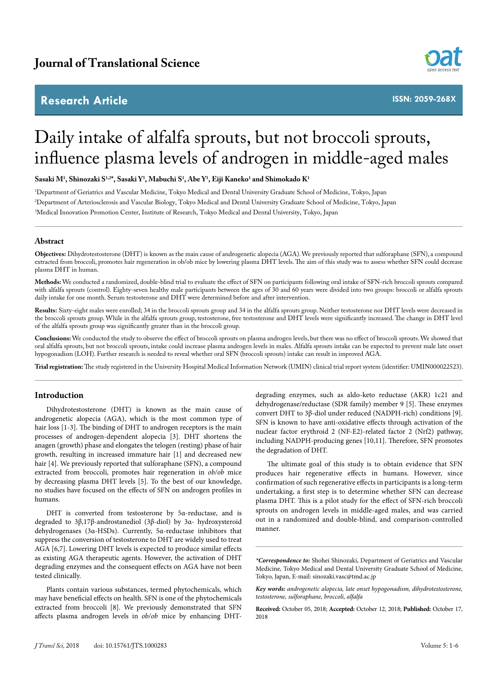# **Research Article**



**ISSN: 2059-268X**

# Daily intake of alfalfa sprouts, but not broccoli sprouts, influence plasma levels of androgen in middle-aged males

 $\mathbf{S}_{\mathbf{a}}$  Shinozaki S<sup>1,2\*</sup>, Sasaki Y<sup>3</sup>, Mabuchi S<sup>1</sup>, Abe Y<sup>1</sup>, Eiji Kaneko<sup>1</sup> and Shimokado K<sup>1</sup>

1 Department of Geriatrics and Vascular Medicine, Tokyo Medical and Dental University Graduate School of Medicine, Tokyo, Japan 2 Department of Arteriosclerosis and Vascular Biology, Tokyo Medical and Dental University Graduate School of Medicine, Tokyo, Japan 3 Medical Innovation Promotion Center, Institute of Research, Tokyo Medical and Dental University, Tokyo, Japan

# **Abstract**

**Objectives:** Dihydrotestosterone (DHT) is known as the main cause of androgenetic alopecia (AGA). We previously reported that sulforaphane (SFN), a compound extracted from broccoli, promotes hair regeneration in ob/ob mice by lowering plasma DHT levels. The aim of this study was to assess whether SFN could decrease plasma DHT in human.

**Methods:** We conducted a randomized, double-blind trial to evaluate the effect of SFN on participants following oral intake of SFN-rich broccoli sprouts compared with alfalfa sprouts (control). Eighty-seven healthy male participants between the ages of 30 and 60 years were divided into two groups: broccoli or alfalfa sprouts daily intake for one month. Serum testosterone and DHT were determined before and after intervention.

**Results:** Sixty-eight males were enrolled; 34 in the broccoli sprouts group and 34 in the alfalfa sprouts group. Neither testosterone nor DHT levels were decreased in the broccoli sprouts group. While in the alfalfa sprouts group, testosterone, free testosterone and DHT levels were significantly increased. The change in DHT level of the alfalfa sprouts group was significantly greater than in the broccoli group.

**Conclusions:** We conducted the study to observe the effect of broccoli sprouts on plasma androgen levels, but there was no effect of broccoli sprouts. We showed that oral alfalfa sprouts, but not broccoli sprouts, intake could increase plasma androgen levels in males. Alfalfa sprouts intake can be expected to prevent male late onset hypogonadism (LOH). Further research is needed to reveal whether oral SFN (broccoli sprouts) intake can result in improved AGA.

**Trial registration:** The study registered in the University Hospital Medical Information Network (UMIN) clinical trial report system (identifier: UMIN000022523).

# **Introduction**

Dihydrotestosterone (DHT) is known as the main cause of androgenetic alopecia (AGA), which is the most common type of hair loss [1-3]. The binding of DHT to androgen receptors is the main processes of androgen-dependent alopecia [3]. DHT shortens the anagen (growth) phase and elongates the telogen (resting) phase of hair growth, resulting in increased immature hair [1] and decreased new hair [4]. We previously reported that sulforaphane (SFN), a compound extracted from broccoli, promotes hair regeneration in *ob/ob* mice by decreasing plasma DHT levels [5]. To the best of our knowledge, no studies have focused on the effects of SFN on androgen profiles in humans.

DHT is converted from testosterone by 5α-reductase, and is degraded to 3β,17β-androstanediol (3β-diol) by 3α- hydroxysteroid dehydrogenases (3α-HSDs). Currently, 5α-reductase inhibitors that suppress the conversion of testosterone to DHT are widely used to treat AGA [6,7]. Lowering DHT levels is expected to produce similar effects as existing AGA therapeutic agents. However, the activation of DHT degrading enzymes and the consequent effects on AGA have not been tested clinically.

Plants contain various substances, termed phytochemicals, which may have beneficial effects on health. SFN is one of the phytochemicals extracted from broccoli [8]. We previously demonstrated that SFN affects plasma androgen levels in *ob/ob* mice by enhancing DHT-

degrading enzymes, such as aldo-keto reductase (AKR) 1c21 and dehydrogenase/reductase (SDR family) member 9 [5]. These enzymes convert DHT to 3β-diol under reduced (NADPH-rich) conditions [9]. SFN is known to have anti-oxidative effects through activation of the nuclear factor erythroid 2 (NF-E2)-related factor 2 (Nrf2) pathway, including NADPH-producing genes [10,11]. Therefore, SFN promotes the degradation of DHT.

The ultimate goal of this study is to obtain evidence that SFN produces hair regenerative effects in humans. However, since confirmation of such regenerative effects in participants is a long-term undertaking, a first step is to determine whether SFN can decrease plasma DHT. This is a pilot study for the effect of SFN-rich broccoli sprouts on androgen levels in middle-aged males, and was carried out in a randomized and double-blind, and comparison-controlled manner.

*\*Correspondence to:* Shohei Shinozaki, Department of Geriatrics and Vascular Medicine, Tokyo Medical and Dental University Graduate School of Medicine, Tokyo, Japan, E-mail: [sinozaki.vasc@tmd.ac.jp](mailto:sinozaki.vasc@tmd.ac.jp)

*Key words: androgenetic alopecia, late onset hypogonadism, dihydrotestosterone, testosterone, sulforaphane, broccoli, alfalfa*

**Received:** October 05, 2018; **Accepted:** October 12, 2018; **Published:** October 17, 2018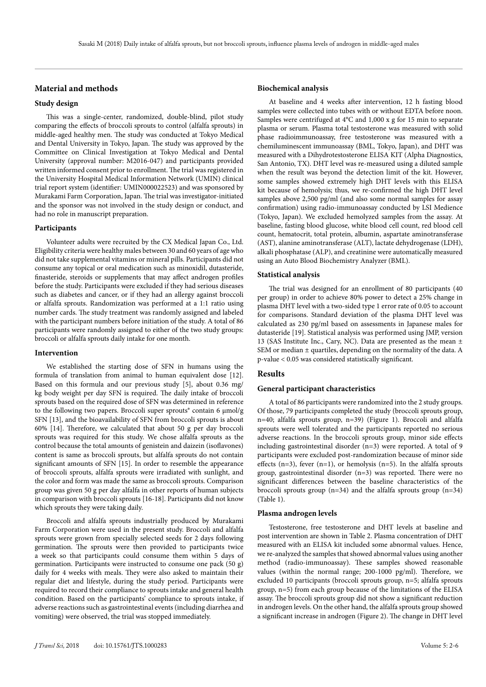# **Material and methods**

# **Study design**

This was a single-center, randomized, double-blind, pilot study comparing the effects of broccoli sprouts to control (alfalfa sprouts) in middle-aged healthy men. The study was conducted at Tokyo Medical and Dental University in Tokyo, Japan. The study was approved by the Committee on Clinical Investigation at Tokyo Medical and Dental University (approval number: M2016-047) and participants provided written informed consent prior to enrollment. The trial was registered in the University Hospital Medical Information Network (UMIN) clinical trial report system (identifier: UMIN000022523) and was sponsored by Murakami Farm Corporation, Japan. The trial was investigator-initiated and the sponsor was not involved in the study design or conduct, and had no role in manuscript preparation.

# **Participants**

Volunteer adults were recruited by the CX Medical Japan Co., Ltd. Eligibility criteria were healthy males between 30 and 60 years of age who did not take supplemental vitamins or mineral pills. Participants did not consume any topical or oral medication such as minoxidil, dutasteride, finasteride, steroids or supplements that may affect androgen profiles before the study. Participants were excluded if they had serious diseases such as diabetes and cancer, or if they had an allergy against broccoli or alfalfa sprouts. Randomization was performed at a 1:1 ratio using number cards. The study treatment was randomly assigned and labeled with the participant numbers before initiation of the study. A total of 86 participants were randomly assigned to either of the two study groups: broccoli or alfalfa sprouts daily intake for one month.

# **Intervention**

We established the starting dose of SFN in humans using the formula of translation from animal to human equivalent dose [12]. Based on this formula and our previous study [5], about 0.36 mg/ kg body weight per day SFN is required. The daily intake of broccoli sprouts based on the required dose of SFN was determined in reference to the following two papers. Broccoli super sprouts® contain 6 μmol/g SFN [13], and the bioavailability of SFN from broccoli sprouts is about 60% [14]. Therefore, we calculated that about 50 g per day broccoli sprouts was required for this study. We chose alfalfa sprouts as the control because the total amounts of genistein and daizein (isoflavones) content is same as broccoli sprouts, but alfalfa sprouts do not contain significant amounts of SFN [15]. In order to resemble the appearance of broccoli sprouts, alfalfa sprouts were irradiated with sunlight, and the color and form was made the same as broccoli sprouts. Comparison group was given 50 g per day alfalfa in other reports of human subjects in comparison with broccoli sprouts [16-18]. Participants did not know which sprouts they were taking daily.

Broccoli and alfalfa sprouts industrially produced by Murakami Farm Corporation were used in the present study. Broccoli and alfalfa sprouts were grown from specially selected seeds for 2 days following germination. The sprouts were then provided to participants twice a week so that participants could consume them within 5 days of germination. Participants were instructed to consume one pack (50 g) daily for 4 weeks with meals. They were also asked to maintain their regular diet and lifestyle, during the study period. Participants were required to record their compliance to sprouts intake and general health condition. Based on the participants' compliance to sprouts intake, if adverse reactions such as gastrointestinal events (including diarrhea and vomiting) were observed, the trial was stopped immediately.

#### *J Transl Sci,* 2018 doi: 10.15761/JTS.1000283 Volume 5: 2-6

#### **Biochemical analysis**

At baseline and 4 weeks after intervention, 12 h fasting blood samples were collected into tubes with or without EDTA before noon. Samples were centrifuged at 4°C and 1,000 x g for 15 min to separate plasma or serum. Plasma total testosterone was measured with solid phase radioimmunoassay, free testosterone was measured with a chemiluminescent immunoassay (BML, Tokyo, Japan), and DHT was measured with a Dihydrotestosterone ELISA KIT (Alpha Diagnostics, San Antonio, TX). DHT level was re-measured using a diluted sample when the result was beyond the detection limit of the kit. However, some samples showed extremely high DHT levels with this ELISA kit because of hemolysis; thus, we re-confirmed the high DHT level samples above 2,500 pg/ml (and also some normal samples for assay confirmation) using radio-immunoassay conducted by LSI Medience (Tokyo, Japan). We excluded hemolyzed samples from the assay. At baseline, fasting blood glucose, white blood cell count, red blood cell count, hematocrit, total protein, albumin, aspartate aminotransferase (AST), alanine aminotransferase (ALT), lactate dehydrogenase (LDH), alkali phosphatase (ALP), and creatinine were automatically measured using an Auto Blood Biochemistry Analyzer (BML).

#### **Statistical analysis**

The trial was designed for an enrollment of 80 participants (40 per group) in order to achieve 80% power to detect a 25% change in plasma DHT level with a two-sided type 1 error rate of 0.05 to account for comparisons. Standard deviation of the plasma DHT level was calculated as 230 pg/ml based on assessments in Japanese males for dutasteride [19]. Statistical analysis was performed using JMP, version 13 (SAS Institute Inc., Cary, NC). Data are presented as the mean ± SEM or median  $\pm$  quartiles, depending on the normality of the data. A p-value < 0.05 was considered statistically significant.

## **Results**

#### **General participant characteristics**

A total of 86 participants were randomized into the 2 study groups. Of those, 79 participants completed the study (broccoli sprouts group, n=40; alfalfa sprouts group, n=39) (Figure 1). Broccoli and alfalfa sprouts were well tolerated and the participants reported no serious adverse reactions. In the broccoli sprouts group, minor side effects including gastrointestinal disorder (n=3) were reported. A total of 9 participants were excluded post-randomization because of minor side effects  $(n=3)$ , fever  $(n=1)$ , or hemolysis  $(n=5)$ . In the alfalfa sprouts group, gastrointestinal disorder (n=3) was reported. There were no significant differences between the baseline characteristics of the broccoli sprouts group  $(n=34)$  and the alfalfa sprouts group  $(n=34)$ (Table 1).

## **Plasma androgen levels**

Testosterone, free testosterone and DHT levels at baseline and post intervention are shown in Table 2. Plasma concentration of DHT measured with an ELISA kit included some abnormal values. Hence, we re-analyzed the samples that showed abnormal values using another method (radio-immunoassay). These samples showed reasonable values (within the normal range; 200-1000 pg/ml). Therefore, we excluded 10 participants (broccoli sprouts group, n=5; alfalfa sprouts group, n=5) from each group because of the limitations of the ELISA assay. The broccoli sprouts group did not show a significant reduction in androgen levels. On the other hand, the alfalfa sprouts group showed a significant increase in androgen (Figure 2). The change in DHT level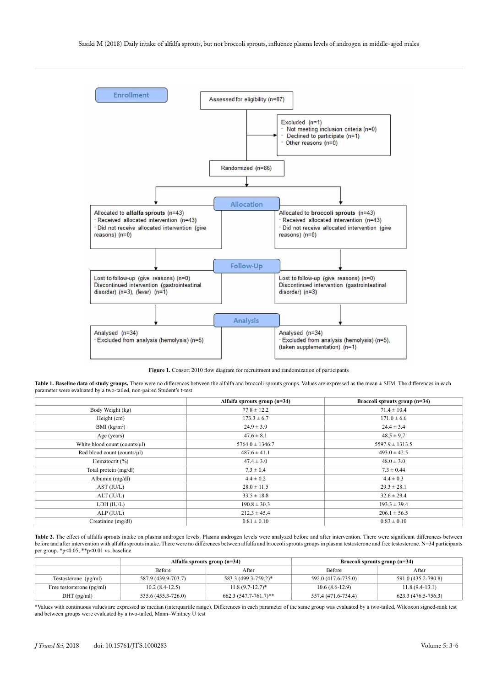

Figure 1. Consort 2010 flow diagram for recruitment and randomization of participants

Table 1. Baseline data of study groups. There were no differences between the alfalfa and broccoli sprouts groups. Values are expressed as the mean  $\pm$  SEM. The differences in each parameter were evaluated by a two-tailed, non-paired Student's t-test

|                               | Alfalfa sprouts group (n=34) | Broccoli sprouts group (n=34) |  |
|-------------------------------|------------------------------|-------------------------------|--|
| Body Weight (kg)              | $77.8 \pm 12.2$              | $71.4 \pm 10.4$               |  |
| Height (cm)                   | $173.3 \pm 6.7$              | $171.0 \pm 6.6$               |  |
| BMI (kg/m <sup>2</sup> )      | $24.9 \pm 3.9$               | $24.4 \pm 3.4$                |  |
| Age (years)                   | $47.6 \pm 8.1$               | $48.5 \pm 9.7$                |  |
| White blood count (counts/µl) | $5764.0 \pm 1346.7$          | $5597.9 \pm 1313.5$           |  |
| Red blood count (counts/µl)   | $487.6 \pm 41.1$             | $493.0 \pm 42.5$              |  |
| Hematocrit (%)                | $47.4 \pm 3.0$               | $48.0 \pm 3.0$                |  |
| Total protein (mg/dl)         | $7.3 \pm 0.4$                | $7.3 \pm 0.44$                |  |
| Albumin (mg/dl)               | $4.4 \pm 0.2$                | $4.4 \pm 0.3$                 |  |
| AST (IU/L)                    | $28.0 \pm 11.5$              | $29.3 \pm 28.1$               |  |
| ALT (IU/L)                    | $33.5 \pm 18.8$              | $32.6 \pm 29.4$               |  |
| LDH (IU/L)                    | $190.8 \pm 30.3$             | $193.3 \pm 39.4$              |  |
| ALP (IU/L)                    | $212.3 \pm 45.4$             | $206.1 \pm 56.5$              |  |
| Creatinine (mg/dl)            | $0.81 \pm 0.10$              | $0.83 \pm 0.10$               |  |

Table 2. The effect of alfalfa sprouts intake on plasma androgen levels. Plasma androgen levels were analyzed before and after intervention. There were significant differences between before and after intervention with alfalfa sprouts intake. There were no differences between alfalfa and broccoli sprouts groups in plasma testosterone and free testosterone. N=34 participants per group. \*p<0.05, \*\*p<0.01 vs. baseline

|                             | Alfalfa sprouts group $(n=34)$ |                         | Broccoli sprouts group $(n=34)$ |                     |
|-----------------------------|--------------------------------|-------------------------|---------------------------------|---------------------|
|                             | Before                         | After                   | <b>Before</b>                   | After               |
| Testosterone $(pg/ml)$      | 587.9 (439.9-703.7)            | 583.3 (499.3-759.2)*    | 592.0 (417.6-735.0)             | 591.0 (435.2-790.8) |
| Free testosterone $(pg/ml)$ | $10.2(8.4-12.5)$               | $11.8(9.7-12.7)^*$      | $10.6(8.6-12.9)$                | $11.8(9.4-13.1)$    |
| $DHT$ (pg/ml)               | 535.6 (455.3-726.0)            | $662.3(547.7-761.7)$ ** | 557.4 (471.6-734.4)             | 623.3 (476.5-756.3) |

\*Values with continuous values are expressed as median (interquartile range). Differences in each parameter of the same group was evaluated by a two-tailed, Wilcoxon signed-rank test and between groups were evaluated by a two-tailed, Mann–Whitney U test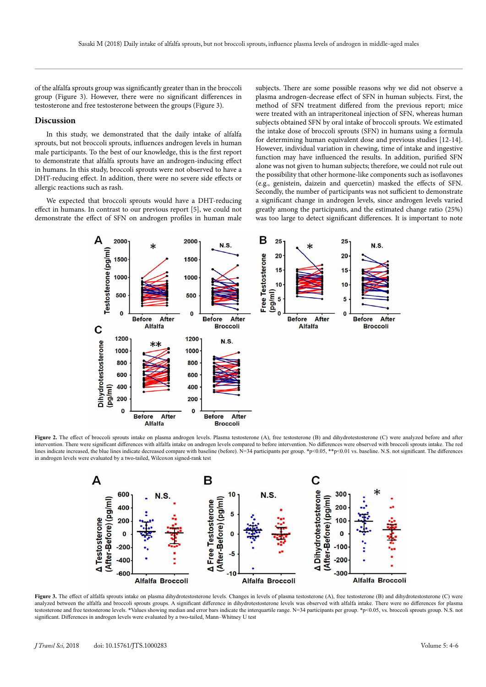of the alfalfa sprouts group was significantly greater than in the broccoli group (Figure 3). However, there were no significant differences in testosterone and free testosterone between the groups (Figure 3).

#### **Discussion**

In this study, we demonstrated that the daily intake of alfalfa sprouts, but not broccoli sprouts, influences androgen levels in human male participants. To the best of our knowledge, this is the first report to demonstrate that alfalfa sprouts have an androgen-inducing effect in humans. In this study, broccoli sprouts were not observed to have a DHT-reducing effect. In addition, there were no severe side effects or allergic reactions such as rash.

We expected that broccoli sprouts would have a DHT-reducing effect in humans. In contrast to our previous report [5], we could not demonstrate the effect of SFN on androgen profiles in human male

subjects. There are some possible reasons why we did not observe a plasma androgen-decrease effect of SFN in human subjects. First, the method of SFN treatment differed from the previous report; mice were treated with an intraperitoneal injection of SFN, whereas human subjects obtained SFN by oral intake of broccoli sprouts. We estimated the intake dose of broccoli sprouts (SFN) in humans using a formula for determining human equivalent dose and previous studies [12-14]. However, individual variation in chewing, time of intake and ingestive function may have influenced the results. In addition, purified SFN alone was not given to human subjects; therefore, we could not rule out the possibility that other hormone-like components such as isoflavones (e.g., genistein, daizein and quercetin) masked the effects of SFN. Secondly, the number of participants was not sufficient to demonstrate a significant change in androgen levels, since androgen levels varied greatly among the participants, and the estimated change ratio (25%) was too large to detect significant differences. It is important to note



Figure 2. The effect of broccoli sprouts intake on plasma androgen levels. Plasma testosterone (A), free testosterone (B) and dihydrotestosterone (C) were analyzed before and after intervention. There were significant differences with alfalfa intake on androgen levels compared to before intervention. No differences were observed with broccoli sprouts intake. The red lines indicate increased, the blue lines indicate decreased compare with baseline (before). N=34 participants per group. \*p<0.05, \*\*p<0.01 vs. baseline. N.S. not significant. The differences in androgen levels were evaluated by a two-tailed, Wilcoxon signed-rank test



Figure 3. The effect of alfalfa sprouts intake on plasma dihydrotestosterone levels. Changes in levels of plasma testosterone (A), free testosterone (B) and dihydrotestosterone (C) were analyzed between the alfalfa and broccoli sprouts groups. A significant difference in dihydrotestosterone levels was observed with alfalfa intake. There were no differences for plasma testosterone and free testosterone levels. \*Values showing median and error bars indicate the interquartile range. N=34 participants per group. \*p<0.05, vs. broccoli sprouts group. N.S. not significant. Differences in androgen levels were evaluated by a two-tailed, Mann–Whitney U test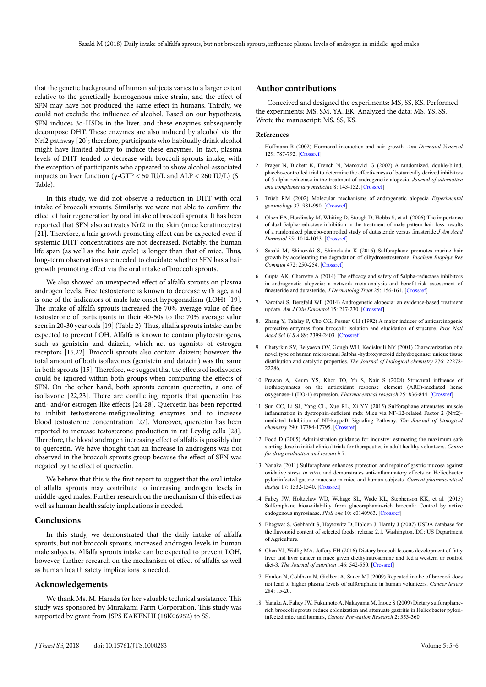that the genetic background of human subjects varies to a larger extent relative to the genetically homogenous mice strain, and the effect of SFN may have not produced the same effect in humans. Thirdly, we could not exclude the influence of alcohol. Based on our hypothesis, SFN induces 3α-HSDs in the liver, and these enzymes subsequently decompose DHT. These enzymes are also induced by alcohol via the Nrf2 pathway [20]; therefore, participants who habitually drink alcohol might have limited ability to induce these enzymes. In fact, plasma levels of DHT tended to decrease with broccoli sprouts intake, with the exception of participants who appeared to show alcohol-associated impacts on liver function (γ-GTP < 50 IU/L and ALP < 260 IU/L) (S1 Table).

In this study, we did not observe a reduction in DHT with oral intake of broccoli sprouts. Similarly, we were not able to confirm the effect of hair regeneration by oral intake of broccoli sprouts. It has been reported that SFN also activates Nrf2 in the skin (mice keratinocytes) [21]. Therefore, a hair growth promoting effect can be expected even if systemic DHT concentrations are not decreased. Notably, the human life span (as well as the hair cycle) is longer than that of mice. Thus, long-term observations are needed to elucidate whether SFN has a hair growth promoting effect via the oral intake of broccoli sprouts.

We also showed an unexpected effect of alfalfa sprouts on plasma androgen levels. Free testosterone is known to decrease with age, and is one of the indicators of male late onset hypogonadism (LOH) [19]. The intake of alfalfa sprouts increased the 70% average value of free testosterone of participants in their 40-50s to the 70% average value seen in 20-30 year olds [19] (Table 2). Thus, alfalfa sprouts intake can be expected to prevent LOH. Alfalfa is known to contain phytoestrogens, such as genistein and daizein, which act as agonists of estrogen receptors [15,22]. Broccoli sprouts also contain daizein; however, the total amount of both isoflavones (genistein and daizein) was the same in both sprouts [15]. Therefore, we suggest that the effects of isoflavones could be ignored within both groups when comparing the effects of SFN. On the other hand, both sprouts contain quercetin, a one of isoflavone [22,23]. There are conflicting reports that quercetin has anti- and/or estrogen-like effects [24-28]. Quercetin has been reported to inhibit testosterone-mefigureolizing enzymes and to increase blood testosterone concentration [27]. Moreover, quercetin has been reported to increase testosterone production in rat Leydig cells [28]. Therefore, the blood androgen increasing effect of alfalfa is possibly due to quercetin. We have thought that an increase in androgens was not observed in the broccoli sprouts group because the effect of SFN was negated by the effect of quercetin.

We believe that this is the first report to suggest that the oral intake of alfalfa sprouts may contribute to increasing androgen levels in middle-aged males. Further research on the mechanism of this effect as well as human health safety implications is needed.

#### **Conclusions**

In this study, we demonstrated that the daily intake of alfalfa sprouts, but not broccoli sprouts, increased androgen levels in human male subjects. Alfalfa sprouts intake can be expected to prevent LOH, however, further research on the mechanism of effect of alfalfa as well as human health safety implications is needed.

# **Acknowledgements**

We thank Ms. M. Harada for her valuable technical assistance. This study was sponsored by Murakami Farm Corporation. This study was supported by grant from JSPS KAKENHI (18K06952) to SS.

#### **Author contributions**

Conceived and designed the experiments: MS, SS, KS. Performed the experiments: MS, SM, YA, EK. Analyzed the data: MS, YS, SS. Wrote the manuscript: MS, SS, KS.

#### **References**

- 1. Hoffmann R (2002) Hormonal interaction and hair growth. *Ann Dermatol Venereol*  129: 787-792. [[Crossref](http://www.ncbi.nlm.nih.gov/pubmed/12223960)]
- 2. Prager N, Bickett K, French N, Marcovici G (2002) A randomized, double-blind, placebo-controlled trial to determine the effectiveness of botanically derived inhibitors of 5-alpha-reductase in the treatment of androgenetic alopecia, *Journal of alternative and complementary medicine* 8: 143-152. [[Crossref](https://www.ncbi.nlm.nih.gov/pubmed/12006122)]
- 3. Trüeb RM (2002) Molecular mechanisms of androgenetic alopecia *Experimental gerontology* 37: 981-990. [[Crossref](https://www.ncbi.nlm.nih.gov/pubmed/12213548)]
- 4. Olsen EA, Hordinsky M, Whiting D, Stough D, Hobbs S, et al. (2006) The importance of dual 5alpha-reductase inhibition in the treatment of male pattern hair loss: results of a randomized placebo-controlled study of dutasteride versus finasteride *J Am Acad Dermatol* 55: 1014-1023. [[Crossref](https://www.ncbi.nlm.nih.gov/pubmed/17110217)]
- 5. Sasaki M, Shinozaki S, Shimokado K (2016) Sulforaphane promotes murine hair growth by accelerating the degradation of dihydrotestosterone. *Biochem Biophys Res Commun* 472: 250-254. [[Crossref](https://www.ncbi.nlm.nih.gov/pubmed/26923074)]
- 6. Gupta AK, Charrette A (2014) The efficacy and safety of 5alpha-reductase inhibitors in androgenetic alopecia: a network meta-analysis and benefit-risk assessment of finasteride and dutasteride, *J Dermatolog Treat* 25: 156-161. [[Crossref](https://www.ncbi.nlm.nih.gov/pubmed/23768246)]
- Varothai S, Bergfeld WF (2014) Androgenetic alopecia: an evidence-based treatment update. *Am J Clin Dermatol* 15: 217-230. [[Crossref](https://www.ncbi.nlm.nih.gov/pubmed/24848508)]
- 8. Zhang Y, Talalay P, Cho CG, Posner GH (1992) A major inducer of anticarcinogenic protective enzymes from broccoli: isolation and elucidation of structure. *Proc Natl Acad Sci U S A* 89: 2399-2403. [[Crossref](https://www.ncbi.nlm.nih.gov/pubmed/1549603)]
- 9. Chetyrkin SV, Belyaeva OV, Gough WH, Kedishvili NY (2001) Characterization of a novel type of human microsomal 3alpha -hydroxysteroid dehydrogenase: unique tissue distribution and catalytic properties. *The Journal of biological chemistry* 276: 22278- 22286.
- 10. Prawan A, Keum YS, Khor TO, Yu S, Nair S (2008) Structural influence of isothiocyanates on the antioxidant response element (ARE)-mediated heme oxygenase-1 (HO-1) expression, *Pharmaceutical research* 25: 836-844. [[Crossref](https://www.ncbi.nlm.nih.gov/pubmed/17657593)]
- 11. Sun CC, Li SJ, Yang CL, Xue RL, Xi YY (2015) Sulforaphane attenuates muscle inflammation in dystrophin-deficient mdx Mice via NF-E2-related Factor 2 (Nrf2) mediated Inhibition of NF-kappaB Signaling Pathway. *The Journal of biological chemistry* 290: 17784-17795. [[Crossref](https://www.ncbi.nlm.nih.gov/pubmed/26013831)]
- 12. Food D (2005) Administration guidance for industry: estimating the maximum safe starting dose in initial clinical trials for therapeutics in adult healthy volunteers. *Centre for drug evaluation and research* 7.
- 13. Yanaka (2011) Sulforaphane enhances protection and repair of gastric mucosa against oxidative stress *in vitro*, and demonstrates anti-inflammatory effects on Helicobacter pyloriinfected gastric mucosae in mice and human subjects. *Current pharmaceutical design* 17: 1532-1540. [[Crossref](https://www.ncbi.nlm.nih.gov/pubmed/21548875)]
- 14. Fahey JW, Holtzclaw WD, Wehage SL, Wade KL, Stephenson KK, et al. (2015) Sulforaphane bioavailability from glucoraphanin-rich broccoli: Control by active endogenous myrosinase. *PloS one* 10: e0140963. [[Crossref](https://www.ncbi.nlm.nih.gov/pubmed/26524341)]
- 15. Bhagwat S, Gebhardt S, Haytowitz D, Holden J, Harnly J (2007) USDA database for the flavonoid content of selected foods: release 2.1, Washington, DC: US Department of Agriculture.
- 16. Chen YJ, Wallig MA, Jeffery EH (2016) Dietary broccoli lessens development of fatty liver and liver cancer in mice given diethylnitrosamine and fed a western or control diet-3. *The Journal of nutrition* 146: 542-550. [[Crossref](https://www.ncbi.nlm.nih.gov/pubmed/26865652)]
- 17. Hanlon N, Coldham N, Gielbert A, Sauer MJ (2009) Repeated intake of broccoli does not lead to higher plasma levels of sulforaphane in human volunteers. *Cancer letters* 284: 15-20.
- 18. Yanaka A, Fahey JW, Fukumoto A, Nakayama M, Inoue S (2009) Dietary sulforaphanerich broccoli sprouts reduce colonization and attenuate gastritis in Helicobacter pyloriinfected mice and humans, *Cancer Prevention Research* 2: 353-360.